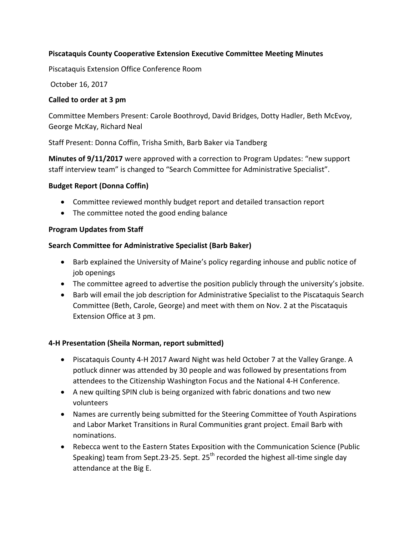### **Piscataquis County Cooperative Extension Executive Committee Meeting Minutes**

Piscataquis Extension Office Conference Room

October 16, 2017 

#### **Called to order at 3 pm**

Committee Members Present: Carole Boothroyd, David Bridges, Dotty Hadler, Beth McEvoy, George McKay, Richard Neal

Staff Present: Donna Coffin, Trisha Smith, Barb Baker via Tandberg

**Minutes of 9/11/2017** were approved with a correction to Program Updates: "new support staff interview team" is changed to "Search Committee for Administrative Specialist".

#### **Budget Report (Donna Coffin)**

- Committee reviewed monthly budget report and detailed transaction report
- The committee noted the good ending balance

#### **Program Updates from Staff**

#### **Search Committee for Administrative Specialist (Barb Baker)**

- Barb explained the University of Maine's policy regarding inhouse and public notice of job openings
- The committee agreed to advertise the position publicly through the university's jobsite.
- Barb will email the job description for Administrative Specialist to the Piscataquis Search Committee (Beth, Carole, George) and meet with them on Nov. 2 at the Piscataquis Extension Office at 3 pm.

#### **4-H Presentation (Sheila Norman, report submitted)**

- Piscataquis County 4-H 2017 Award Night was held October 7 at the Valley Grange. A potluck dinner was attended by 30 people and was followed by presentations from attendees to the Citizenship Washington Focus and the National 4-H Conference.
- A new quilting SPIN club is being organized with fabric donations and two new volunteers
- Names are currently being submitted for the Steering Committee of Youth Aspirations and Labor Market Transitions in Rural Communities grant project. Email Barb with nominations.
- Rebecca went to the Eastern States Exposition with the Communication Science (Public Speaking) team from Sept.23-25. Sept.  $25<sup>th</sup>$  recorded the highest all-time single day attendance at the Big E.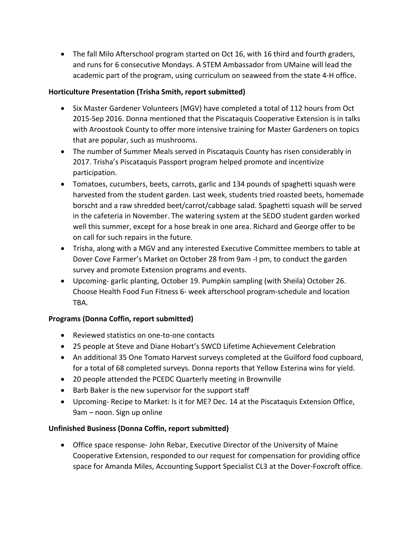• The fall Milo Afterschool program started on Oct 16, with 16 third and fourth graders, and runs for 6 consecutive Mondays. A STEM Ambassador from UMaine will lead the academic part of the program, using curriculum on seaweed from the state 4-H office.

#### Horticulture Presentation (Trisha Smith, report submitted)

- Six Master Gardener Volunteers (MGV) have completed a total of 112 hours from Oct 2015-Sep 2016. Donna mentioned that the Piscataquis Cooperative Extension is in talks with Aroostook County to offer more intensive training for Master Gardeners on topics that are popular, such as mushrooms.
- The number of Summer Meals served in Piscataquis County has risen considerably in 2017. Trisha's Piscataquis Passport program helped promote and incentivize participation.
- Tomatoes, cucumbers, beets, carrots, garlic and 134 pounds of spaghetti squash were harvested from the student garden. Last week, students tried roasted beets, homemade borscht and a raw shredded beet/carrot/cabbage salad. Spaghetti squash will be served in the cafeteria in November. The watering system at the SEDO student garden worked well this summer, except for a hose break in one area. Richard and George offer to be on call for such repairs in the future.
- Trisha, along with a MGV and any interested Executive Committee members to table at Dover Cove Farmer's Market on October 28 from 9am -I pm, to conduct the garden survey and promote Extension programs and events.
- Upcoming- garlic planting, October 19. Pumpkin sampling (with Sheila) October 26. Choose Health Food Fun Fitness 6- week afterschool program-schedule and location TBA.

### **Programs (Donna Coffin, report submitted)**

- Reviewed statistics on one-to-one contacts
- 25 people at Steve and Diane Hobart's SWCD Lifetime Achievement Celebration
- An additional 35 One Tomato Harvest surveys completed at the Guilford food cupboard, for a total of 68 completed surveys. Donna reports that Yellow Esterina wins for yield.
- 20 people attended the PCEDC Quarterly meeting in Brownville
- Barb Baker is the new supervisor for the support staff
- Upcoming- Recipe to Market: Is it for ME? Dec. 14 at the Piscataquis Extension Office, 9am – noon. Sign up online

### Unfinished Business (Donna Coffin, report submitted)

• Office space response- John Rebar, Executive Director of the University of Maine Cooperative Extension, responded to our request for compensation for providing office space for Amanda Miles, Accounting Support Specialist CL3 at the Dover-Foxcroft office.